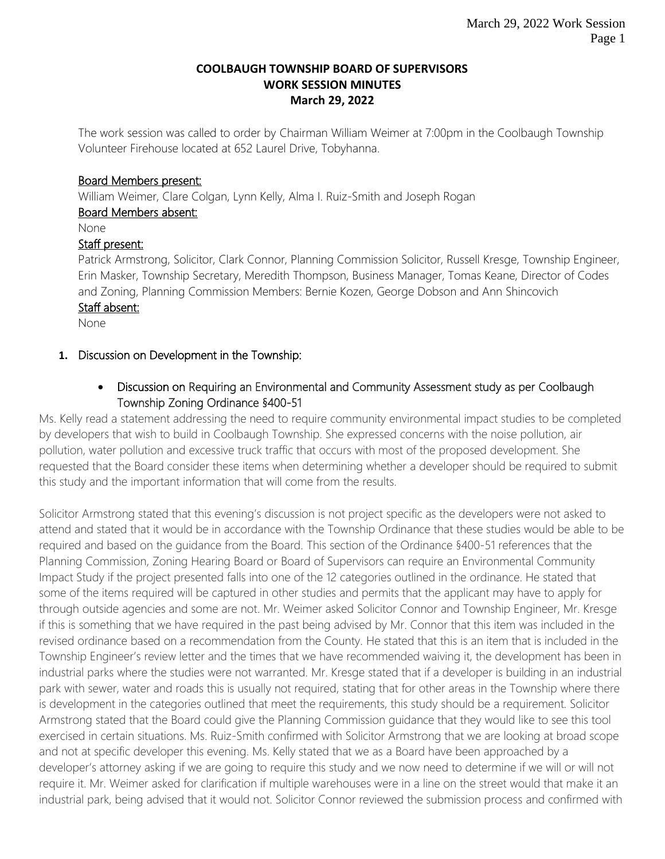#### **COOLBAUGH TOWNSHIP BOARD OF SUPERVISORS WORK SESSION MINUTES March 29, 2022**

The work session was called to order by Chairman William Weimer at 7:00pm in the Coolbaugh Township Volunteer Firehouse located at 652 Laurel Drive, Tobyhanna.

#### Board Members present:

William Weimer, Clare Colgan, Lynn Kelly, Alma I. Ruiz-Smith and Joseph Rogan

# Board Members absent:

None

### Staff present:

Patrick Armstrong, Solicitor, Clark Connor, Planning Commission Solicitor, Russell Kresge, Township Engineer, Erin Masker, Township Secretary, Meredith Thompson, Business Manager, Tomas Keane, Director of Codes and Zoning, Planning Commission Members: Bernie Kozen, George Dobson and Ann Shincovich Staff absent:

None

### **1.** Discussion on Development in the Township:

# • Discussion on Requiring an Environmental and Community Assessment study as per Coolbaugh Township Zoning Ordinance §400-51

Ms. Kelly read a statement addressing the need to require community environmental impact studies to be completed by developers that wish to build in Coolbaugh Township. She expressed concerns with the noise pollution, air pollution, water pollution and excessive truck traffic that occurs with most of the proposed development. She requested that the Board consider these items when determining whether a developer should be required to submit this study and the important information that will come from the results.

Solicitor Armstrong stated that this evening's discussion is not project specific as the developers were not asked to attend and stated that it would be in accordance with the Township Ordinance that these studies would be able to be required and based on the guidance from the Board. This section of the Ordinance §400-51 references that the Planning Commission, Zoning Hearing Board or Board of Supervisors can require an Environmental Community Impact Study if the project presented falls into one of the 12 categories outlined in the ordinance. He stated that some of the items required will be captured in other studies and permits that the applicant may have to apply for through outside agencies and some are not. Mr. Weimer asked Solicitor Connor and Township Engineer, Mr. Kresge if this is something that we have required in the past being advised by Mr. Connor that this item was included in the revised ordinance based on a recommendation from the County. He stated that this is an item that is included in the Township Engineer's review letter and the times that we have recommended waiving it, the development has been in industrial parks where the studies were not warranted. Mr. Kresge stated that if a developer is building in an industrial park with sewer, water and roads this is usually not required, stating that for other areas in the Township where there is development in the categories outlined that meet the requirements, this study should be a requirement. Solicitor Armstrong stated that the Board could give the Planning Commission guidance that they would like to see this tool exercised in certain situations. Ms. Ruiz-Smith confirmed with Solicitor Armstrong that we are looking at broad scope and not at specific developer this evening. Ms. Kelly stated that we as a Board have been approached by a developer's attorney asking if we are going to require this study and we now need to determine if we will or will not require it. Mr. Weimer asked for clarification if multiple warehouses were in a line on the street would that make it an industrial park, being advised that it would not. Solicitor Connor reviewed the submission process and confirmed with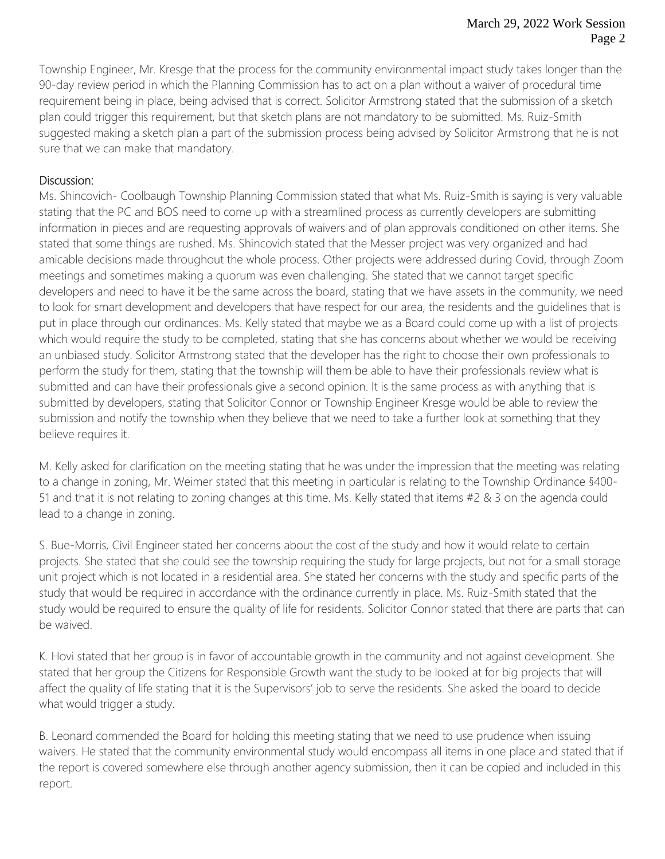Township Engineer, Mr. Kresge that the process for the community environmental impact study takes longer than the 90-day review period in which the Planning Commission has to act on a plan without a waiver of procedural time requirement being in place, being advised that is correct. Solicitor Armstrong stated that the submission of a sketch plan could trigger this requirement, but that sketch plans are not mandatory to be submitted. Ms. Ruiz-Smith suggested making a sketch plan a part of the submission process being advised by Solicitor Armstrong that he is not sure that we can make that mandatory.

## Discussion:

Ms. Shincovich- Coolbaugh Township Planning Commission stated that what Ms. Ruiz-Smith is saying is very valuable stating that the PC and BOS need to come up with a streamlined process as currently developers are submitting information in pieces and are requesting approvals of waivers and of plan approvals conditioned on other items. She stated that some things are rushed. Ms. Shincovich stated that the Messer project was very organized and had amicable decisions made throughout the whole process. Other projects were addressed during Covid, through Zoom meetings and sometimes making a quorum was even challenging. She stated that we cannot target specific developers and need to have it be the same across the board, stating that we have assets in the community, we need to look for smart development and developers that have respect for our area, the residents and the guidelines that is put in place through our ordinances. Ms. Kelly stated that maybe we as a Board could come up with a list of projects which would require the study to be completed, stating that she has concerns about whether we would be receiving an unbiased study. Solicitor Armstrong stated that the developer has the right to choose their own professionals to perform the study for them, stating that the township will them be able to have their professionals review what is submitted and can have their professionals give a second opinion. It is the same process as with anything that is submitted by developers, stating that Solicitor Connor or Township Engineer Kresge would be able to review the submission and notify the township when they believe that we need to take a further look at something that they believe requires it.

M. Kelly asked for clarification on the meeting stating that he was under the impression that the meeting was relating to a change in zoning, Mr. Weimer stated that this meeting in particular is relating to the Township Ordinance §400- 51 and that it is not relating to zoning changes at this time. Ms. Kelly stated that items #2 & 3 on the agenda could lead to a change in zoning.

S. Bue-Morris, Civil Engineer stated her concerns about the cost of the study and how it would relate to certain projects. She stated that she could see the township requiring the study for large projects, but not for a small storage unit project which is not located in a residential area. She stated her concerns with the study and specific parts of the study that would be required in accordance with the ordinance currently in place. Ms. Ruiz-Smith stated that the study would be required to ensure the quality of life for residents. Solicitor Connor stated that there are parts that can be waived.

K. Hovi stated that her group is in favor of accountable growth in the community and not against development. She stated that her group the Citizens for Responsible Growth want the study to be looked at for big projects that will affect the quality of life stating that it is the Supervisors' job to serve the residents. She asked the board to decide what would trigger a study.

B. Leonard commended the Board for holding this meeting stating that we need to use prudence when issuing waivers. He stated that the community environmental study would encompass all items in one place and stated that if the report is covered somewhere else through another agency submission, then it can be copied and included in this report.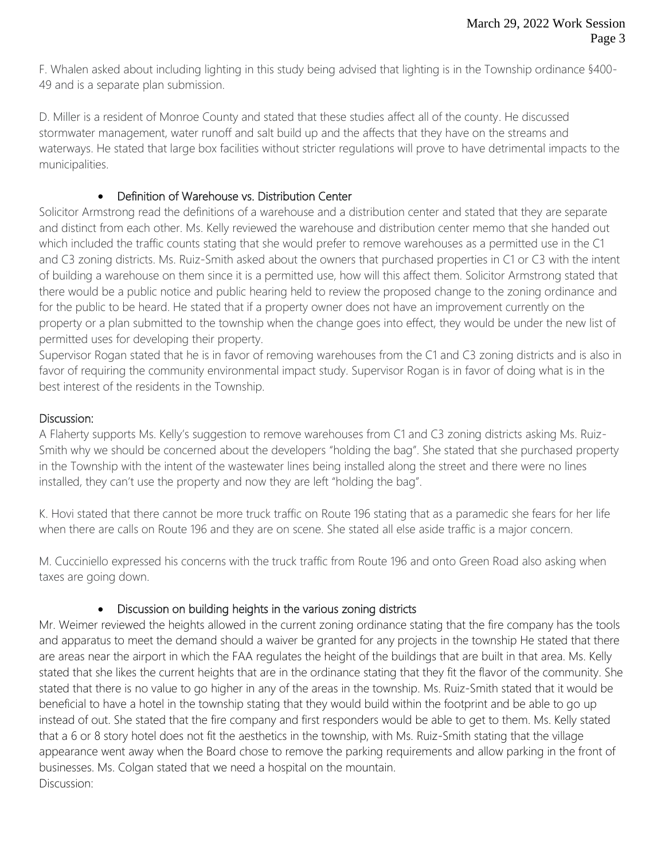F. Whalen asked about including lighting in this study being advised that lighting is in the Township ordinance §400- 49 and is a separate plan submission.

D. Miller is a resident of Monroe County and stated that these studies affect all of the county. He discussed stormwater management, water runoff and salt build up and the affects that they have on the streams and waterways. He stated that large box facilities without stricter regulations will prove to have detrimental impacts to the municipalities.

## • Definition of Warehouse vs. Distribution Center

Solicitor Armstrong read the definitions of a warehouse and a distribution center and stated that they are separate and distinct from each other. Ms. Kelly reviewed the warehouse and distribution center memo that she handed out which included the traffic counts stating that she would prefer to remove warehouses as a permitted use in the C1 and C3 zoning districts. Ms. Ruiz-Smith asked about the owners that purchased properties in C1 or C3 with the intent of building a warehouse on them since it is a permitted use, how will this affect them. Solicitor Armstrong stated that there would be a public notice and public hearing held to review the proposed change to the zoning ordinance and for the public to be heard. He stated that if a property owner does not have an improvement currently on the property or a plan submitted to the township when the change goes into effect, they would be under the new list of permitted uses for developing their property.

Supervisor Rogan stated that he is in favor of removing warehouses from the C1 and C3 zoning districts and is also in favor of requiring the community environmental impact study. Supervisor Rogan is in favor of doing what is in the best interest of the residents in the Township.

## Discussion:

A Flaherty supports Ms. Kelly's suggestion to remove warehouses from C1 and C3 zoning districts asking Ms. Ruiz-Smith why we should be concerned about the developers "holding the bag". She stated that she purchased property in the Township with the intent of the wastewater lines being installed along the street and there were no lines installed, they can't use the property and now they are left "holding the bag".

K. Hovi stated that there cannot be more truck traffic on Route 196 stating that as a paramedic she fears for her life when there are calls on Route 196 and they are on scene. She stated all else aside traffic is a major concern.

M. Cucciniello expressed his concerns with the truck traffic from Route 196 and onto Green Road also asking when taxes are going down.

# • Discussion on building heights in the various zoning districts

Mr. Weimer reviewed the heights allowed in the current zoning ordinance stating that the fire company has the tools and apparatus to meet the demand should a waiver be granted for any projects in the township He stated that there are areas near the airport in which the FAA regulates the height of the buildings that are built in that area. Ms. Kelly stated that she likes the current heights that are in the ordinance stating that they fit the flavor of the community. She stated that there is no value to go higher in any of the areas in the township. Ms. Ruiz-Smith stated that it would be beneficial to have a hotel in the township stating that they would build within the footprint and be able to go up instead of out. She stated that the fire company and first responders would be able to get to them. Ms. Kelly stated that a 6 or 8 story hotel does not fit the aesthetics in the township, with Ms. Ruiz-Smith stating that the village appearance went away when the Board chose to remove the parking requirements and allow parking in the front of businesses. Ms. Colgan stated that we need a hospital on the mountain. Discussion: